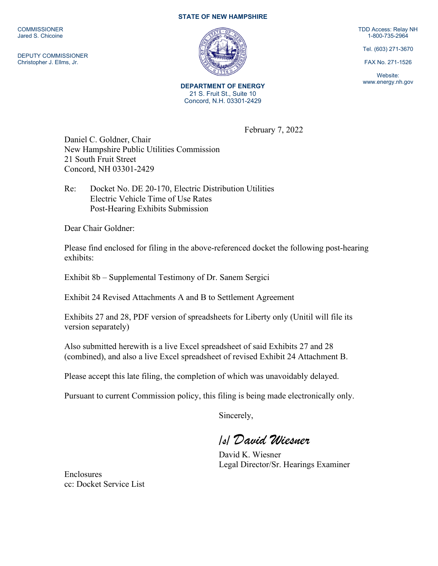**COMMISSIONER** Jared S. Chicoine

DEPUTY COMMISSIONER Christopher J. Ellms, Jr.

## **STATE OF NEW HAMPSHIRE**



**DEPARTMENT OF ENERGY** 21 S. Fruit St., Suite 10 Concord, N.H. 03301-2429

TDD Access: Relay NH 1-800-735-2964

Tel. (603) 271-3670

FAX No. 271-1526

Website: www.energy.nh.gov

February 7, 2022

Daniel C. Goldner, Chair New Hampshire Public Utilities Commission 21 South Fruit Street Concord, NH 03301-2429

Re: Docket No. DE 20-170, Electric Distribution Utilities Electric Vehicle Time of Use Rates Post-Hearing Exhibits Submission

Dear Chair Goldner:

Please find enclosed for filing in the above-referenced docket the following post-hearing exhibits:

Exhibit 8b – Supplemental Testimony of Dr. Sanem Sergici

Exhibit 24 Revised Attachments A and B to Settlement Agreement

Exhibits 27 and 28, PDF version of spreadsheets for Liberty only (Unitil will file its version separately)

Also submitted herewith is a live Excel spreadsheet of said Exhibits 27 and 28 (combined), and also a live Excel spreadsheet of revised Exhibit 24 Attachment B.

Please accept this late filing, the completion of which was unavoidably delayed.

Pursuant to current Commission policy, this filing is being made electronically only.

Sincerely,

*/s/ David Wiesner*

David K. Wiesner Legal Director/Sr. Hearings Examiner

Enclosures cc: Docket Service List